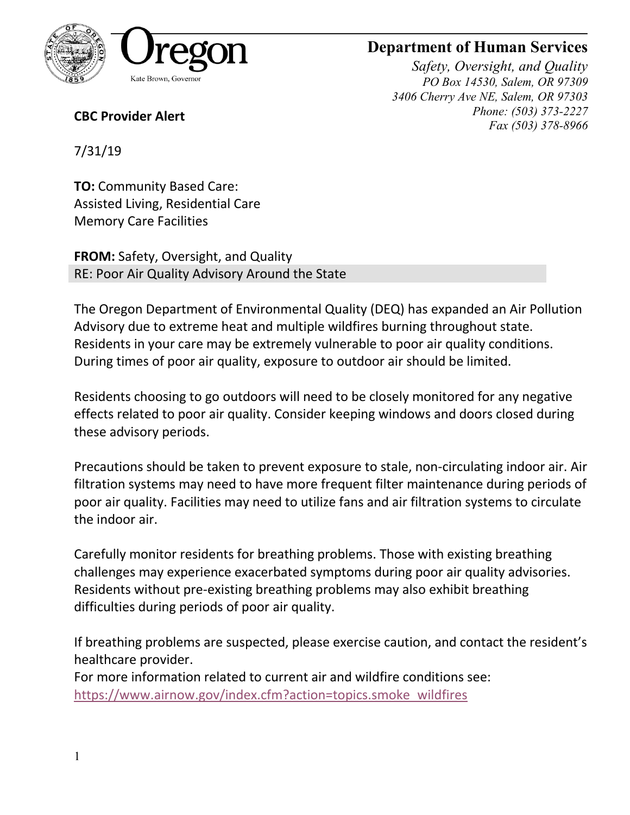

## **Department of Human Services**

*Safety, Oversight, and Quality PO Box 14530, Salem, OR 97309 3406 Cherry Ave NE, Salem, OR 97303 Phone: (503) 373-2227 Fax (503) 378-8966*

**CBC Provider Alert**

7/31/19

**TO:** Community Based Care: Assisted Living, Residential Care Memory Care Facilities

**FROM:** Safety, Oversight, and Quality RE: Poor Air Quality Advisory Around the State

The Oregon Department of Environmental Quality (DEQ) has expanded an Air Pollution Advisory due to extreme heat and multiple wildfires burning throughout state. Residents in your care may be extremely vulnerable to poor air quality conditions. During times of poor air quality, exposure to outdoor air should be limited.

Residents choosing to go outdoors will need to be closely monitored for any negative effects related to poor air quality. Consider keeping windows and doors closed during these advisory periods.

Precautions should be taken to prevent exposure to stale, non-circulating indoor air. Air filtration systems may need to have more frequent filter maintenance during periods of poor air quality. Facilities may need to utilize fans and air filtration systems to circulate the indoor air.

Carefully monitor residents for breathing problems. Those with existing breathing challenges may experience exacerbated symptoms during poor air quality advisories. Residents without pre-existing breathing problems may also exhibit breathing difficulties during periods of poor air quality.

If breathing problems are suspected, please exercise caution, and contact the resident's healthcare provider.

For more information related to current air and wildfire conditions see: [https://www.airnow.gov/index.cfm?action=topics.smoke\\_wildfires](https://www.airnow.gov/index.cfm?action=topics.smoke_wildfires)